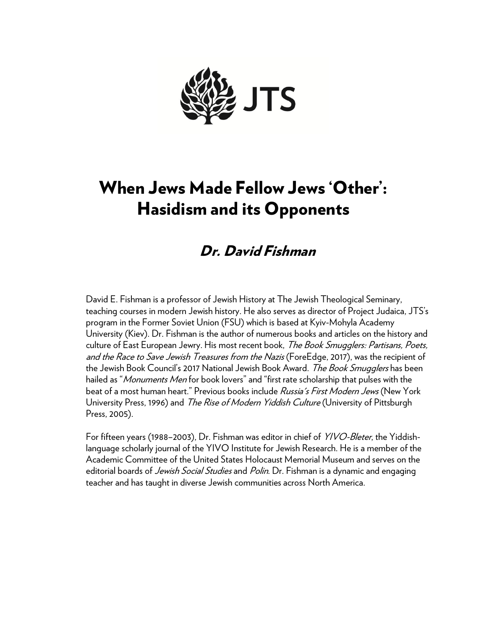

# When Jews Made Fellow Jews 'Other': Hasidism and its Opponents

# Dr. David Fishman

David E. Fishman is a professor of Jewish History at The Jewish Theological Seminary, teaching courses in modern Jewish history. He also serves as director of Project Judaica, JTS's program in the Former Soviet Union (FSU) which is based at Kyiv-Mohyla Academy University (Kiev). Dr. Fishman is the author of numerous books and articles on the history and culture of East European Jewry. His most recent book, *The Book Smugglers: Partisans, Poets,* and the Race to Save Jewish Treasures from the Nazis (ForeEdge, 2017), was the recipient of the Jewish Book Council's 2017 National Jewish Book Award. *The Book Smugglers* has been hailed as "*Monuments Men* for book lovers" and "first rate scholarship that pulses with the beat of a most human heart." Previous books include *Russia's First Modern Jews* (New York University Press, 1996) and The Rise of Modern Yiddish Culture (University of Pittsburgh Press, 2005).

For fifteen years (1988–2003), Dr. Fishman was editor in chief of *YIVO-Bleter*, the Yiddishlanguage scholarly journal of the YIVO Institute for Jewish Research. He is a member of the Academic Committee of the United States Holocaust Memorial Museum and serves on the editorial boards of *Jewish Social Studies* and *Polin*. Dr. Fishman is a dynamic and engaging teacher and has taught in diverse Jewish communities across North America.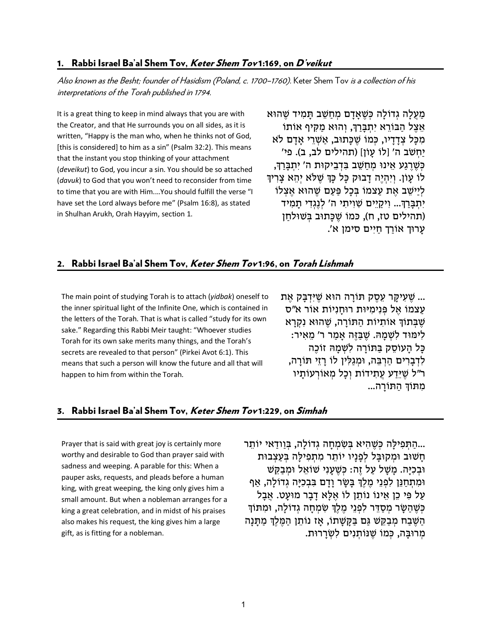#### 1. Rabbi Israel Ba'al Shem Tov, *Keter Shem Tov* 1:169, on *D'veikut*

Also known as the Besht; founder of Hasidism (Poland, c. 1700–1760). Keter Shem Tov is a collection of his interpretations of the Torah published in 1794.

It is a great thing to keep in mind always that you are with the Creator, and that He surrounds you on all sides, as it is written, "Happy is the man who, when he thinks not of God, [this is considered] to him as a sin" (Psalm 32:2). This means that the instant you stop thinking of your attachment (*deveikut*) to God, you incur a sin. You should be so attached (*davuk*) to God that you won't need to reconsider from time to time that you are with Him.…You should fulfill the verse "I have set the Lord always before me" (Psalm 16:8), as stated in Shulhan Arukh, Orah Hayyim, section 1.

מַעֲלָה גְדוֹלָה כְּשֵׁאַדָם מִחִשֶּׁב תַּמִיד שֶׁהוּא אֵצֵל הַבּוֹרֵא יִתְבַּרַךְּ, וְהוּא מַקִּיף אוֹתוֹ מִכּל צְדִדִיו, כְּמוֹ שֶׁכַּתוּב, אַשָּׁרֵי אִדָם לֹא יַחְ שֹׁב ה' [לוֹ עָ וֹן] (תהילים לב, ב). פי' כְּשֶׁרֵגַע אֵינוּ מְחַשֵּׁב בִּדְבֵיקוּת ה' יִתְבַּרַךְ, לוֹ עָוֹן. וְיִהְיֶה דַבוּק כָּל כַּךְּ שֶׁלֹּא יְהֵא צַרְיךָ לִיישֵׁב אֶת עַצמוֹ בְּכַל פַּעָם שֶׁהוּא אֶצְלוֹ יִתְבַּרַךָּ... וְיקַיֵים שָׁוִיתִי ה' לְנֶגְדִי תַמְיד (תהילים טז, ח), כּמוֹ שֶׁכַּתוּב בְּשׁוּלחַן עָ רוּך אוֹרַ ך חַ יִים סימן א'.

# 2. Rabbi Israel Ba'al Shem Tov, Keter Shem Tov 1:96, on Torah Lishmah

The main point of studying Torah is to attach (*yidbak*) oneself to the inner spiritual light of the Infinite One, which is contained in the letters of the Torah. That is what is called "study for its own sake." Regarding this Rabbi Meir taught: "Whoever studies Torah for its own sake merits many things, and the Torah's secrets are revealed to that person" (Pirkei Avot 6:1). This means that such a person will know the future and all that will happen to him from within the Torah.

... שֶׁעָיקָר עֶסֶק תּוֹרָה הוּא שֵׁיָּדְבַּק אֶת עצמוֹ אל פּנימיּוּת רוּחניוֹת אוֹר א״ס שֶׁבְּתוֹךְ אוֹתְיוֹת הַתּוֹרַה, שֶׁהוּא נִקְרַא לִימּוּד לְשָׁמַהּ. שֶׁבַּזֶּה אַמַר ר' מֵאִיר: כִּל העוֹסק בַּתּוֹרה לִשְׁמַהּ זוֹכַה לִדְבָרִים הַרְבֶּה, וּמְגַלִּין לוֹ רַזֵי תּוֹרַה, ר"ל שֶׁיֶּדַע עֶתְידוֹת וְכַל מְאוֹרְעוֹתִיו מִתּוֹךְ הִתּוֹרַה...

#### 3. Rabbi Israel Ba'al Shem Tov, Keter Shem Tov 1:229, on Simhah

Prayer that is said with great joy is certainly more worthy and desirable to God than prayer said with sadness and weeping. A parable for this: When a pauper asks, requests, and pleads before a human king, with great weeping, the king only gives him a small amount. But when a nobleman arranges for a king a great celebration, and in midst of his praises also makes his request, the king gives him a large gift, as is fitting for a nobleman.

...הַתְּפִילָה כַּשֶׁהָיא בְּשָׂמְחָה גְדוֹלָה, בַּוודָאי יוֹתֵר חַשׁוּב וּמִקוּבַּל לְפָנַיו יוֹתֵר מִתְפִילַה בְּעַצְבוּת וּבְכִיַּה. מַשָּׁל עַל זֶה: כִּשֶׁעַנִי שׁוֹאֵל וּמִבַקֵּשׁ וּמִתְחַנֵּן לִפְנֵי מֶלֶךְ בַּשָׂר וַדָם בִּבְכְיַּה גְדוֹלַה, אַף עַל פִּי כֵן אֵינוֹ נוֹתֵן לוֹ אֵלָא דִבְר מוּעָט. אֲבַל כְּשֶׁהַשָּׂר מְסַדֶּר לִפְנֵי מֶלֶךְ שָׂמְחָה גְדוֹלַה, וּמִתּוֹךְ הַשָּׁבַח מְבַקֵּשׁ גִּם בַּקָּשָׁתוֹ, אִז נוֹתֵן הַמֶּלֶךְ מִתְּנַה מְרוּבַה, כְּמוֹ שֶׁנּוֹתְנִים לְשְׂרַרוּת.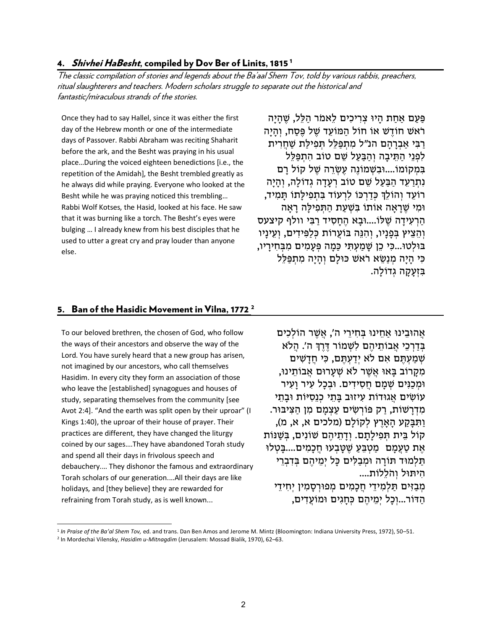#### 4. Shivhei HaBesht, compiled by Dov Ber of Linits, [1](#page-2-0)815<sup>1</sup>

The classic compilation of stories and legends about the Ba'aal Shem Tov, told by various rabbis, preachers, ritual slaughterers and teachers. Modern scholars struggle to separate out the historical and fantastic/miraculous strands of the stories.

Once they had to say Hallel, since it was either the first day of the Hebrew month or one of the intermediate days of Passover. Rabbi Abraham was reciting Shaharit before the ark, and the Besht was praying in his usual place…During the voiced eighteen benedictions [i.e., the repetition of the Amidah], the Besht trembled greatly as he always did while praying. Everyone who looked at the Besht while he was praying noticed this trembling… Rabbi Wolf Kotses, the Hasid, looked at his face. He saw that it was burning like a torch. The Besht's eyes were bulging … I already knew from his best disciples that he used to utter a great cry and pray louder than anyone else.

פּעִם אחת היוּ צְרִיכִים לֵאמֹר הַלֶּל, שֶׁהִיַה רֹאשׁ חוֹדֶשׁ אוֹ חוֹל הַמּוֹעֵד שֶׁל פֶּסַח, וְהִיַה רִבִּי אַבְרהם הנ״ל מִתְפַּלֶל תְּפִילִת שַׁחֲרִית לפני התּיבה והבעל שם טוֹב התפּלל בִּמְקוֹמוֹ....וּבִשָּׁמוֹנֵה עֵשָׂרֵה שֶׁל קוֹל רִם נתרעד הבַּעל שִׁם טוֹב רעדה גדוֹלה, והיה רוֹעֶד וְהוֹלֵךְ כִּדְרְכּוֹ לִרְעוֹד בִּתְפִילִתוֹ תִּמִיד, וּמִ י שֶׁ רָ אָה וֹתוֹא בִּ שְׁ עַ ת הַ תְּ פִ ילָּ ה רָ אָה הַרְעִידָה שֶׁלּוֹ....וּבַא הֶחַסִיד רַבִּי וולף קיצעס וְהְצִיץ בִּפְנִיו, וְהִנָּה בּוֹעָרוֹת כַּלְפִּידִים, וְעִינֵיו בּוּלְטוּ...כִּי כֵן שַׁמַעָתִּי כַּמַה פְּעָמִים מִבְּחִירַיו, כִּי הָיַה מְנַשֵּׂא רֹאשׁ כּוּלַם וְהָיַה מִתְפַּלֶל בּזעקה גדוֹלה.

# 5. Ban of the Hasidic Movement in Vilna, 177[2](#page-2-1)<sup>2</sup>

To our beloved brethren, the chosen of God, who follow the ways of their ancestors and observe the way of the Lord. You have surely heard that a new group has arisen, not imagined by our ancestors, who call themselves Hasidim. In every city they form an association of those who leave the [established] synagogues and houses of study, separating themselves from the community [see Avot 2:4]. "And the earth was split open by their uproar" (I Kings 1:40), the uproar of their house of prayer. Their practices are different, they have changed the liturgy coined by our sages….They have abandoned Torah study and spend all their days in frivolous speech and debauchery.… They dishonor the famous and extraordinary Torah scholars of our generation.…All their days are like holidays, and [they believe] they are rewarded for refraining from Torah study, as is well known...

אהוּבינוּ אַחינוּ בַּחִירִי ה', אַשָׁר הוֹלְכִים בְּדַרְכֵי אֲבוֹתֵיהֶם לִשְׁמוֹר דֶּרֶךְ ה'. הֲלֹא שְׁמַעְתֵּם אִם לֹא יְדַעְתֵּם, כִּי חֲדָשִׁים מקרוֹב בַּאוּ אַשָׁר לֹאַ שַׁעְרוּם אַבוֹתִינוּ, וּמְכַנִּים שָׁמַם חֵסְידִים. וּבִכְל עִיר וַעִיר ֿעוֹשִׂים אֲגוּדוֹת עִיזוּב בַּתֵי כְנֵסִיּוֹת וּבַתֵי מִדְרָשׁוֹת, רַק פּוֹרְשִׂים עַצְמַם מִן הַצִּיבּוּר. וַ תִּ בָּ קַ ע הָ אָרֶ ץ לְקוֹלָם (מלכים א, א, מ), לוֹק בֵּ ית תְּ פִ ילָתַָ ם. וְ דָ תֵ יהֶ ם שׁוֹנִים, בְּ שַׁ נּוֹת אֶת טַעֲמִם מַטְבֵּעָ שֶׁטַּבְעוּ חֲכַמִים....בַּטְלוּ תַּלְמוּד תּוֹרַה וּמִבְלִּים כַּל יִמֵיהֶם בִּדְבְרֵי היתוּל והֹללוֹת....

מְבַזִּים תַּלְמִידֵי חֵכָמִים מִפוּרְסָמִין יְחִידֵי הַדּוֹר...וְכָל יִמֵיהֶם כְּחַגִים וּמוֹעֲדִים,

<span id="page-2-0"></span><sup>1</sup> *In Praise of the Ba'al Shem Tov,* ed. and trans. Dan Ben Amos and Jerome M. Mintz (Bloomington: Indiana University Press, 1972), 50–51.

<span id="page-2-1"></span><sup>2</sup> In Mordechai Vilensky, *Hasidim u-Mitnagdim* (Jerusalem: Mossad Bialik, 1970), 62–63.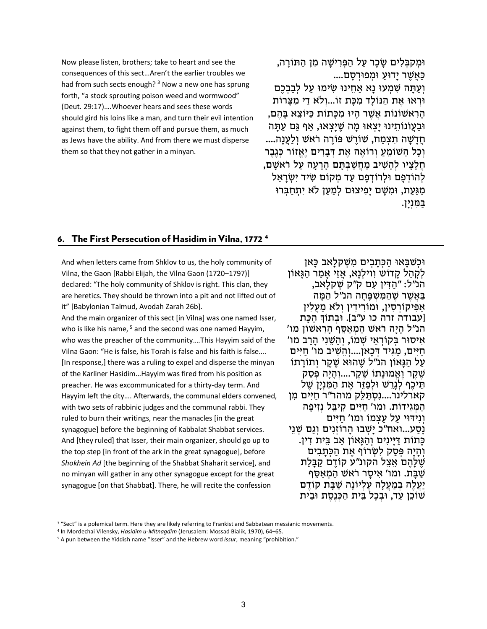Now please listen, brothers; take to heart and see the consequences of this sect…Aren't the earlier troubles we had from such sects enough?  $3$  Now a new one has sprung forth, "a stock sprouting poison weed and wormwood" (Deut. 29:17)….Whoever hears and sees these words should gird his loins like a man, and turn their evil intention against them, to fight them off and pursue them, as much as Jews have the ability. And from there we must disperse them so that they not gather in a minyan.

וּמְקִבְּלִים שַׂכָר עַל הַפְּרִישַׁה מִן הַתּוֹרַה, כַּ אֲ שֶׁ ר יָדוּעַ וּמְ פוּרְ סָ ם.... וְעַתָּה שִׁמְעוּ נָא אַחֵינוּ שִׂימוּ עַל לְבַבְכֵם וּרְאוּ אֶת הַנּוֹלִד מְכַּת זוֹ...וְלֹא דִי מְצֵרוֹת הָרְאשׁוֹנוֹת אֲשֶׁר הַיוּ מִכְּתוֹת כַּיּוֹצֵא בַּהֶם, וּבַעֲוֹנוֹתֵינוּ יַצְאוּ מַה שֵׁיַצְאוּ, אַף גַּם עַתַּה חֵדַשָּׁה תִצְמַח, שׁוֹרֵשׁ פּוֹרֶה רֹאשׁ וְלַעֲנָה.... וְכַל הַשׁוֹמֵעָ וְרוֹאֶה אֶת דְּבִרִים יֶאֱזוֹר כָּגֶבֶר חֵלַצְיו לְהַשִּׁיב מַחֲשַׁבְתַּם הַרַעַה עַל רֹאשָׁם, לְהוֹדְפַם וּלְרוֹדְפַם עַד מְקוֹם שִׂיד יְשָׂרְאֵל מגּעת, וּמִשָׁם יפיצוּם למען לֹא יתחבּרוּ בַּמִּ נְיָן.

#### 6. The First Persecution of Hasidim in Vilna, 1772 [4](#page-3-1)

And when letters came from Shklov to us, the holy community of Vilna, the Gaon [Rabbi Elijah, the Vilna Gaon (1720–1797)] declared: "The holy community of Shklov is right. This clan, they are heretics. They should be thrown into a pit and not lifted out of it" [Babylonian Talmud, Avodah Zarah 26b].

And the main organizer of this sect [in Vilna] was one named Isser, who is like his name,  $5$  and the second was one named Hayyim, who was the preacher of the community….This Hayyim said of the Vilna Gaon: "He is false, his Torah is false and his faith is false…. [In response,] there was a ruling to expel and disperse the minyan of the Karliner Hasidim…Hayyim was fired from his position as preacher. He was excommunicated for a thirty-day term. And Hayyim left the city…. Afterwards, the communal elders convened, with two sets of rabbinic judges and the communal rabbi. They ruled to burn their writings, near the manacles [in the great synagogue] before the beginning of Kabbalat Shabbat services. And [they ruled] that Isser, their main organizer, should go up to the top step [in front of the ark in the great synagogue], before *Shokhein Ad* [the beginning of the Shabbat Shaharit service], and no minyan will gather in any other synagogue except for the great synagogue [on that Shabbat]. There, he will recite the confession

וּכְשׁבַּאוּ הִכְּתִבְיִם מִשָּׁקְלָאב כַּאן לְקָהל קַדוֹשׁ וְוִילְנַא, אֵזֵי אִמַר הַגָּאוֹן הנ״ל: ״הַדִּין עִם ק״ק שְׁקלָאב,<br>בּאשׁר שהמשפּחה הנ״ל המה אַפִּיקוֹרְסִין, וּמוֹרִידִין וְלֹא מַעֲלִין<br>[עבודה זרה כו ע״ב]. וּבתוֹדְּ הכּת הנ״ל היַה רֹאשׁ המִאַסֶף הַרְאַשׁוֹן מו' אִיסוּר בְּקוֹרְאֵי שְׁמוֹ, וְהַשֵּׁנִי הָרַב מו'<br>חיים, מגּיד דכאן....והשיב מו' חיים עַל הַגְּאוֹן הֹנ״ל שֶׁהוּא שֶׁקֶר וְתוֹרִתוֹ שֶׁמֶר וֶאֱמוּנָתוֹ שֶׁקֶר....וְהָיָה פְּסַק<br>תִּיכַף לגרשׁ וּלפזר את המנין של קארלינר....נסתּלק מוהר"ר חיים מן הַמְּגִידוֹת. ומו' חַיִּים קִיבֵּל נְזִיפָה<br>ונידּוּי על עצמוֹ ומו' חיים נסע...ואח"כ ישבוּ הרוֹזנִים וגם שִׁנִי כִּתוֹת דִּיִּינִים וְהִגְּאוֹן אַב בֵּיִת דִין. והיה פּסק לשׂרוֹף את הכּתבים שֶׁלָּהֶם אֵצֶל הקונ״ע קוֹדֶם קַבַּלִת שַׁבַּת. ומו' אִיסָר רֹאשׁ הַמְאַסֶּף יַעֲלֶה בְמַעֲלָה עֶלְיוֹנַה שַׁבַּת קוֹדֶם שׁוֹכֵן עַד, וּבִכל בֵּית הִכְּנֶסֶת וּבֵית

<span id="page-3-0"></span><sup>&</sup>lt;sup>3</sup> "Sect" is a polemical term. Here they are likely referring to Frankist and Sabbatean messianic movements.

<span id="page-3-1"></span><sup>4</sup> In Mordechai Vilensky, *Hasidim u-Mitnagdim* (Jerusalem: Mossad Bialik, 1970), 64–65.

<span id="page-3-2"></span><sup>5</sup> A pun between the Yiddish name "Isser" and the Hebrew word *issur*, meaning "prohibition."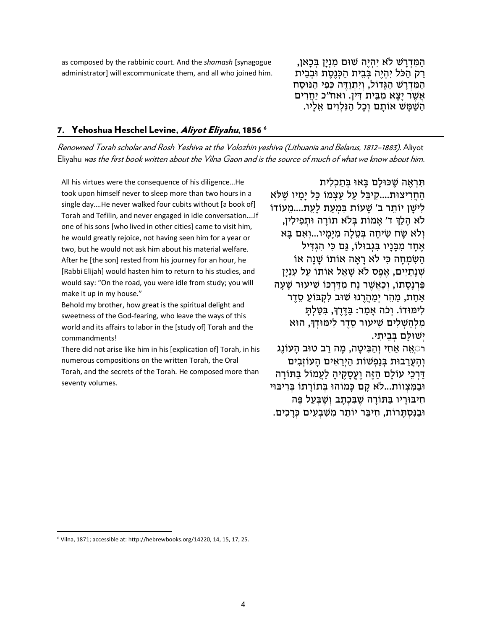as composed by the rabbinic court. And the *shamash* [synagogue administrator] will excommunicate them, and all who joined him.

הַמִּדְרָשׁ לֹא יִהְיֶה שׁוּם מִנְיָן בְּכָאן,<br>רק הַכֹּל יִהְיֵה בְּבֵית הַכְּנֵסֶת וּבְבֵית הַמְּדְרָשׁ הַגְּדוֹל, וְיִתְוַדֶּה כְּפִי הַנּוּסַח אֲשֶׁר יָצָא מִבֵּית דִּין. ואח"כ יַחֲרִים השמש אותם וְכַל הַנְלְוִים אֵלָיו.

#### 7. Yehoshua Heschel Levine, *Aliyot Eliyahu*, 185[6](#page-4-0)<sup>6</sup>

Renowned Torah scholar and Rosh Yeshiva at the Volozhin yeshiva (Lithuania and Belarus, 1812–1883). Aliyot Eliyahu was the first book written about the Vilna Gaon and is the source of much of what we know about him.

All his virtues were the consequence of his diligence…He took upon himself never to sleep more than two hours in a single day….He never walked four cubits without [a book of] Torah and Tefilin, and never engaged in idle conversation….If one of his sons [who lived in other cities] came to visit him, he would greatly rejoice, not having seen him for a year or two, but he would not ask him about his material welfare. After he [the son] rested from his journey for an hour, he [Rabbi Elijah] would hasten him to return to his studies, and would say: "On the road, you were idle from study; you will make it up in my house."

Behold my brother, how great is the spiritual delight and sweetness of the God-fearing, who leave the ways of this world and its affairs to labor in the [study of] Torah and the commandments!

There did not arise like him in his [explication of] Torah, in his numerous compositions on the written Torah, the Oral Torah, and the secrets of the Torah. He composed more than seventy volumes.

תִּרְאָה שִׁכּוּלִם בַּאוּ בִּתְכַלִית הַחֲרִיצוּת....קִיבֶּל עַל עַצְמוֹ כִּל ימיו שִׁלֹּא לִישַׁן יוֹתֵר ב' שַׁעוֹת בִּמְעַת לַעֵת....מֵעוֹדוֹ לֹא הַלַןּ ד' אַמוֹת בְּלֹא תוֹרַה וּתִפִילִין, וְלֹא שָׂח שִׂיחַה בְּטֶלַה מִיַּמַיו...וְאִם בַּא אחד מִבּניו בּגִבוּלוֹ, גִּם כִּי הגדִיל השמחה כּי לא ראה אוֹתוֹ שִׁנָה אוֹ שָׁנַתִיִּים, אֶפֶס לֹא שַׁאַל אַוֹתוֹ עַל עָנְיַן פַּרְנַסֻתוֹ, וְכַאֲשֶׁר נַח מִדַּרְכּוֹ שִׁיעוּר שַׁעַה אַחַת, מַהֶר יְמַהֲרֵנוּ שׁוּב לִקְבּוֹעַ סֵדֵר לִימּוּדוֹ. וְכֹה אַמַר: בַּדֶּרֶךְ, בִּטַּלְתַּ מִלְהַשָּׁלִים שִׁיעוּר סֶדֶר לִימּוּדְךָ, הוּא יְשׁוּלַם בִּבֵיתִי.

ּרִּאֵה אַחִי וְהַבִּיטַה, מַה רַב טוּב הַעוֹנֵג וְהַעֲרֵבוּת בְּנַפְשׁוֹת הַיְרֵאִים הַעוֹזְבִים דִּרְכֵי עוֹלִם הַזֶּה וַעֲסַקֶיה לִעֲמוֹל בַּתּוֹרָה וּבַמְּצְווֹת...לֹא קַם כַּמוֹהוּ בִּתוֹרַתוֹ בִּרְיבּוּי חִיבּוּרִיו בַּתּוֹרָה שֶׁבַּכְתֵב וְשֶׁבְּעַל פֶּה וּבַנִּסְתַּרוֹת, חִיבֵּר יוֹתֵר מִשְׁבִעִים כְּרַכְים.

<span id="page-4-0"></span><sup>6</sup> Vilna, 1871; accessible at[: http://hebrewbooks.org/14220,](http://hebrewbooks.org/14220) 14, 15, 17, 25.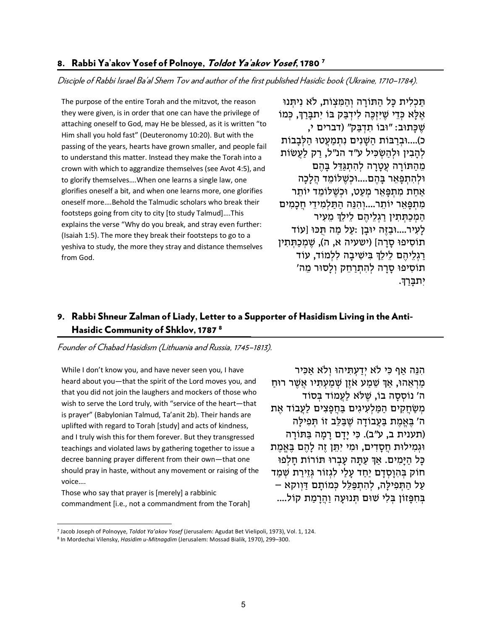# 8. Rabbi Ya'akov Yosef of Polnoye, Toldot Ya'akov Yosef, 1[7](#page-5-0)80<sup>7</sup>

Disciple of Rabbi Israel Ba'al Shem Tov and author of the first published Hasidic book (Ukraine, 1710–1784).

The purpose of the entire Torah and the mitzvot, the reason they were given, is in order that one can have the privilege of attaching oneself to God, may He be blessed, as it is written "to Him shall you hold fast" (Deuteronomy 10:20). But with the passing of the years, hearts have grown smaller, and people fail to understand this matter. Instead they make the Torah into a crown with which to aggrandize themselves (see Avot 4:5), and to glorify themselves….When one learns a single law, one glorifies oneself a bit, and when one learns more, one glorifies oneself more….Behold the Talmudic scholars who break their footsteps going from city to city [to study Talmud]….This explains the verse "Why do you break, and stray even further: (Isaiah 1:5). The more they break their footsteps to go to a yeshiva to study, the more they stray and distance themselves from God.

תֵּכְלִית כַּל הִתְּוֹרָה וְהִמֵּצְוֹת, לְאֵ נִיתְּנוּ אַ כִּדִי שִׁיזָכֵּה לִידְבַּק בּוֹ יִתְבַּרְךְ, כַּמוֹ שִׁ כַּתוּב: "וּבוֹ תדִבַּק" (דברים י, כ)....וּבִרבּוֹת הֹשִׁנִים נִתְמַעְטוּ הַלָּבְבוֹת להבין וּלְהִשׂכּיל ע"ד הנ"ל, רק לעַשׂוֹת מֵהַתּוֹרָה עֵטֲרָה לְהְתְגַּדֵּל בַּהֶם וּלְהִ תְ פָּ אֵ ר בָּ הֶ ם....וּכְ שֶׁ לּוֹמֵ ד הֲלָכָה אַחַת מִתְפַּאֵר מִעַט, וּכִשֶׁלּוֹמֵד יוֹתֵר מִתְפָּאֵר יוֹתֵר....וְהִנֵּה הַתַּלְמִידֵי חֲכָמִים הַמְכַתְּתִין רַגְלֵיהֶם לֵילֵךְ מֵעִיר לעיר....וּבַזָּה יוּבַן :עַל מַה תִּכּוּ [עוֹד תוֹסִיפוּ סַרָה] (ישעיה א, ה), שֶׁמְכַתְּתִין רַגְלֵיהֶם לֵילֵךְ בִּישִׁיבַה לְלְמוֹד, עוֹד תוֹסִיפוּ סַרַה לְהָתְרַחֵק וְלַסוּר מֵה' יִתבָּ רַ �.

# 9. Rabbi Shneur Zalman of Liady, Letter to a Supporter of Hasidism Living in the Anti-Hasidic Community of Shklov, 1787 [8](#page-5-1)

Founder of Chabad Hasidism (Lithuania and Russia, 1745–1813).

While I don't know you, and have never seen you, I have heard about you—that the spirit of the Lord moves you, and that you did not join the laughers and mockers of those who wish to serve the Lord truly, with "service of the heart—that is prayer" (Babylonian Talmud, Ta'anit 2b). Their hands are uplifted with regard to Torah [study] and acts of kindness, and I truly wish this for them forever. But they transgressed teachings and violated laws by gathering together to issue a decree banning prayer different from their own—that one should pray in haste, without any movement or raising of the voice….

Those who say that prayer is [merely] a rabbinic commandment [i.e., not a commandment from the Torah]

הִנֵּה אַף כִּי לֹא יִדַעְתְּיהוּ וְלֹא אַכְּיר מַרְאֲהוּ, אַךְ שֶׁמַע אֹזֶן שָׁמַעָתְּיו אֲשֶׁר רוּח ה' נוֹסְסָה בוֹ, שֵׁלֹּא לַעֲמוֹד בְּסוֹד מְשַׂחֲקִים הַמַּלְעְיגִים בַּחֲפָצִים לַעֲבוֹד אֶת ה' בֵּאֱמֶת בַּעֲבוֹדָה שֶׁבַּלֶּב זוֹ תִּפְילַה (תענית ב, ע"ב). כִּי יַדָם רִמְה בַּתּוֹרָה וּגְמִילוּת חֵסַדִים, וּמִי יִתֵּן זֶה לַהֶם בֵּאֱמֶת כַּל הַיַּמְיִם. אַךְ עַתָּה עָבָרוּ תּוֹרוֹת חַלְפוּ חוֹק בְּהִוּסָדִם יַחִד עָלִי לְגְזוֹר גְּזֵירַת שָׁמַד עַל הַתְּפִילַה, לְהִתְפַּלֶל כְּמוֹתֵם דַּוְוקא – בְּחִפָּזוֹן בְּלִי שׁוּם תְּנוּעָה וַהֲרָמַת קוֹל....

<span id="page-5-0"></span><sup>7</sup> Jacob Joseph of Polnoyye, *Toldot Ya'akov Yosef* (Jerusalem: Agudat Bet Vielipoli, 1973), Vol. 1, 124.

<span id="page-5-1"></span><sup>8</sup> In Mordechai Vilensky, *Hasidim u-Mitnagdim* (Jerusalem: Mossad Bialik, 1970), 299–300.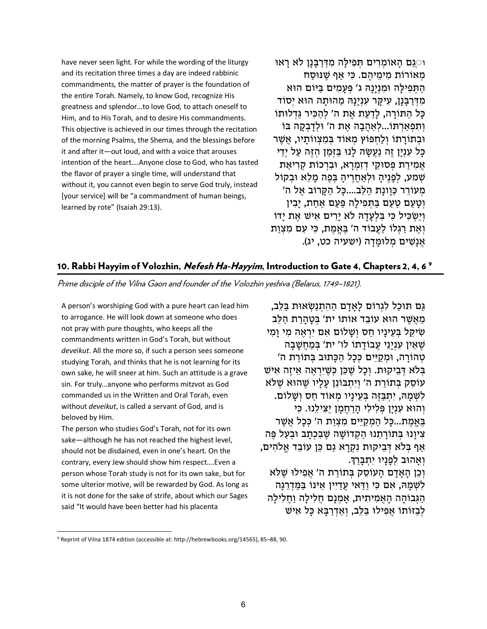have never seen light. For while the wording of the liturgy and its recitation three times a day are indeed rabbinic commandments, the matter of prayer is the foundation of the entire Torah. Namely, to know God, recognize His greatness and splendor…to love God, to attach oneself to Him, and to His Torah, and to desire His commandments. This objective is achieved in our times through the recitation of the morning Psalms, the Shema, and the blessings before it and after it—out loud, and with a voice that arouses intention of the heart….Anyone close to God, who has tasted the flavor of prayer a single time, will understand that without it, you cannot even begin to serve God truly, instead [your service] will be "a commandment of human beings, learned by rote" (Isaiah 29:13).

ו◌ְגַם הָ אוֹ מְ רִ ים תְּ פִ ילָּ ה מִ דְּ רַ בָּ נָן �א רָ אוּ מְאוֹרוֹת מִימֵיהֵם. כִּי אַף שֶׁנּוּסַח התּפילה וּמנינהּ ג' פּעמים בּיּוֹם הוּא מִדִּרְבֵּנַן, עִיקֶר עָנְיַנַהּ מַהוּתַה הוּא יְסוֹד כָּל הַתּוֹרַה, לַדַעַת אֶת ה' לְהַכִּיר גַּדְלוּתוֹ וְתִפְאַרְתּוֹ...לְאַהֲבָה אֶת ה' וּלְדַבְקָה בּוֹ וּבְתוֹרַתוֹ וְלַחְפּוֹץ מְאוֹד בְּמִצְווֹתַיו, אֲשֶׁר כִּל עָנְיַן זֶה נַעֲשָׂה לְנוּ בַּזְּמַן הָזֶה עַל יְדֵי אֲמִירַת פְּסוּקֵי דְזָמְרַא, וּבִרְכוֹת קְרִיאַת שִׁמַע, לְפְנֵיהָ וּלְאַחֲרֵיהָ בְּפֶה מַלָּא וּבְקוֹל מִעוֹרר כּוונת הלִב....כִּל הִקְרוֹב אַל ה' וטעם טעם בּתּפילה פּעם אחת, יבין וְיַשְׂכִּיל כִּי בַּלְעָדָהּ לֹא יַרִים אִישׁ אֶת יִדוֹ וְאֶת רַגְלוֹ לַעֲבוֹד ה' בֶּאֱמֶת, כִּי עִם מִצְוַת אֲנַשִׁים מְלוּמֵדָה (ישעיה כט, יג).

# 10. Rabbi Hayyim of Volozhin, *Nefesh Ha-Hayyim*, Introduction to Gate 4, Chapters 2, 4, 6 <sup>[9](#page-6-0)</sup>

Prime disciple of the Vilna Gaon and founder of the Volozhin yeshiva (Belarus, 1749–1821).

A person's worshiping God with a pure heart can lead him to arrogance. He will look down at someone who does not pray with pure thoughts, who keeps all the commandments written in God's Torah, but without *deveikut*. All the more so, if such a person sees someone studying Torah, and thinks that he is not learning for its own sake, he will sneer at him. Such an attitude is a grave sin. For truly…anyone who performs mitzvot as God commanded us in the Written and Oral Torah, even without *deveikut*, is called a servant of God, and is beloved by Him.

The person who studies God's Torah, not for its own sake—although he has not reached the highest level, should not be disdained, even in one's heart. On the contrary, every Jew should show him respect….Even a person whose Torah study is not for its own sake, but for some ulterior motive, will be rewarded by God. As long as it is not done for the sake of strife, about which our Sages said "It would have been better had his placenta

גִּם תִּוּכַל לִגְרוֹם לְאִדָם הַהְתְנַשְׂאוּת בַּלֶּב, מֵאָשׁר הוּאַ עוֹבִד אוֹתוֹ יִת' בַּטְהרת הִלֶּב שִׂיקֵל בְּעֵינִיו חִס וְשָׁלוֹם אִם יִרְאֶה מִי וְמִי שֶׁאֵין עִנְיַנֵי עֲבוֹדַתוֹ לו' ית' בְּמַחֲשָׁבַה טְהוֹרָה, וּמְקִיֵּים כְּכַל הַכַּתוּב בְּתוֹרִת ה' בְּלֹא דְּבֵיקוּת. וְכַל שֶׁכֶּן כְּשֵׁיִּרְאֶה אֵיזֶה אִישׁ עוֹסֶק בְּתוֹרת ה' וְיִתְבּוֹנֵן עָלִיו שֶׁהוּא שֶׁלֹּא לִשְׁמַהּ, יִתְבַּזֶּה בְּעֵינַיו מִאוֹד חַס וְשַׁלוֹם. וְהוּא עִנִין פּלילי הרחמן יצילנוּ. כִּי בְּאֱמֶת...כַּל הַמְקַיֵּים מִצְוַת ה' כְּכַל אֲשֶׁר צִיוַנוּ בְּתוֹרַתֶנוּ הַקְדוֹשָׁה שֶׁבְּכְתַב וּבְעַל פֵּה אַף בִּלֹא דְּבֵיקוּת נִקְרַא גַם כֵּן עוֹבֵד אֱלֹהִים, וְאָהוּב לְפְנֵיו יְתְבַרְךָ. וְכֵן הָאָדָם הָעוֹסֵק בִּתוֹרַת ה' אֲפִילוּ שֵׁלֹּא לִשְׁמַהּ, אִם כִּי וַדַּאי עֵדַיִין אֵינוֹ בַּמֵּדְרֵגְה הַגְּבוֹהַה הַאֲמִיתִית, אַמְנַם חֲלִילַה וַחֲלִילַה לְבַזּוֹתוֹ אֲפִילוּ בַּלֶּב, וְאַדְרַבָּא כַּל אִישׁ

<span id="page-6-0"></span><sup>9</sup> Reprint of Vilna 1874 edition (accessible at: http://hebrewbooks.org/14565), 85–88, 90.